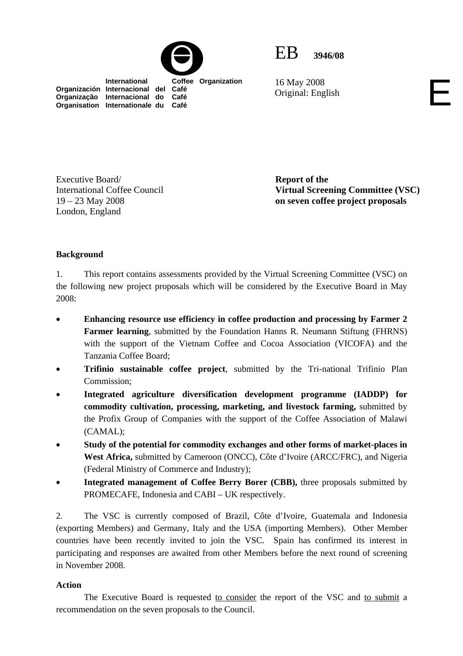



16 May 2008 16 May 2008<br>Original: English

 **International Coffee Organization Organización Internacional del Café Organização Internacional do Café Organisation Internationale du Café**

**Report of the Virtual Screening Committee (VSC) on seven coffee project proposals** 

## **Background**

Executive Board/

19 – 23 May 2008 London, England

International Coffee Council

1. This report contains assessments provided by the Virtual Screening Committee (VSC) on the following new project proposals which will be considered by the Executive Board in May 2008:

- **Enhancing resource use efficiency in coffee production and processing by Farmer 2 Farmer learning**, submitted by the Foundation Hanns R. Neumann Stiftung (FHRNS) with the support of the Vietnam Coffee and Cocoa Association (VICOFA) and the Tanzania Coffee Board;
- **Trifinio sustainable coffee project**, submitted by the Tri-national Trifinio Plan Commission;
- **Integrated agriculture diversification development programme (IADDP) for commodity cultivation, processing, marketing, and livestock farming,** submitted by the Profix Group of Companies with the support of the Coffee Association of Malawi (CAMAL);
- **Study of the potential for commodity exchanges and other forms of market-places in West Africa,** submitted by Cameroon (ONCC), Côte d'Ivoire (ARCC/FRC), and Nigeria (Federal Ministry of Commerce and Industry);
- **Integrated management of Coffee Berry Borer (CBB),** three proposals submitted by PROMECAFE, Indonesia and CABI – UK respectively.

2. The VSC is currently composed of Brazil, Côte d'Ivoire, Guatemala and Indonesia (exporting Members) and Germany, Italy and the USA (importing Members). Other Member countries have been recently invited to join the VSC. Spain has confirmed its interest in participating and responses are awaited from other Members before the next round of screening in November 2008.

#### **Action**

 The Executive Board is requested to consider the report of the VSC and to submit a recommendation on the seven proposals to the Council.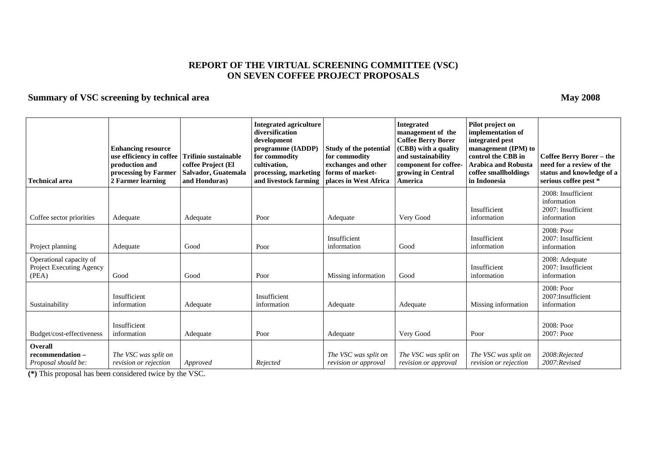#### **REPORT OF THE VIRTUAL SCREENING COMMITTEE (VSC) ON SEVEN COFFEE PROJECT PROPOSALS**

#### **Summary of VSC screening by technical area May 2008 May 2008**

**Technical area Enhancing resource use efficiency in coffee production and processing by Farmer 2 Farmer learning Trifinio sustainable coffee Project (El Salvador, Guatemala and Honduras) Integrated agriculture diversification development programme (IADDP) for commodity cultivation, processing, marketing and livestock farming Study of the potential for commodity exchanges and other forms of marketplaces in West Africa Integrated management of the Coffee Berry Borer (CBB) with a quality and sustainability component for coffeegrowing in Central America Pilot project on implementation of integrated pest management (IPM) to control the CBB in Arabica and Robusta coffee smallholdings in Indonesia Coffee Berry Borer – the need for a review of the status and knowledge of a serious coffee pest \***  Coffee sector priorities Adequate Adequate Adequate Poor Adequate Very Good Insufficient information 2008: Insufficient information 2007: Insufficient information Project planning Adequate Good Poor Insufficient information Good Insufficient information 2008: Poor 2007: Insufficient information Operational capacity of Project Executing Agency (PEA) Good Good Good Good Poor Missing information Good Insufficient information 2008: Adequate 2007: Insufficient information Sustainability Insufficient information <br>Adequate Insufficient information Adequate Adequate Adequate Missing information 2008: Poor 2007:Insufficient information Budget/cost-effectiveness Insufficient information Adequate Poor Adequate Very Good Poor 2008: Poor 2007: Poor **Overall recommendation –***Proposal should be: The VSC was split on revision or rejection* Approved Rejected *The VSC was split on revision or approval The VSC was split on revision or approval The VSC was split on revision or rejection 2008:Rejected 2007:Revised* 

**(\*)** This proposal has been considered twice by the VSC.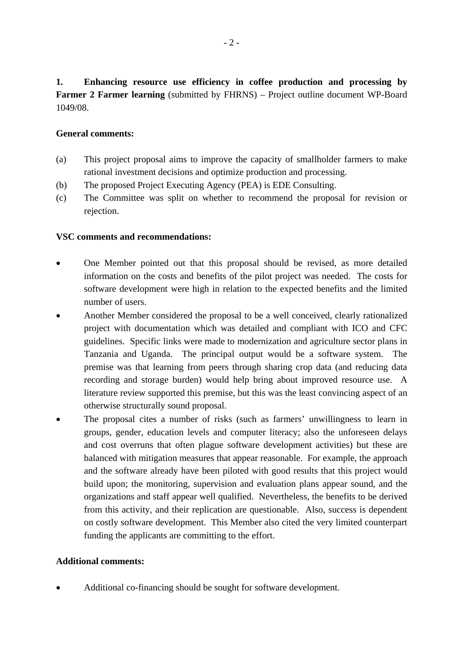**1. Enhancing resource use efficiency in coffee production and processing by Farmer 2 Farmer learning** (submitted by FHRNS) – Project outline document WP-Board 1049/08.

## **General comments:**

- (a) This project proposal aims to improve the capacity of smallholder farmers to make rational investment decisions and optimize production and processing.
- (b) The proposed Project Executing Agency (PEA) is EDE Consulting.
- (c) The Committee was split on whether to recommend the proposal for revision or rejection.

## **VSC comments and recommendations:**

- One Member pointed out that this proposal should be revised, as more detailed information on the costs and benefits of the pilot project was needed. The costs for software development were high in relation to the expected benefits and the limited number of users.
- Another Member considered the proposal to be a well conceived, clearly rationalized project with documentation which was detailed and compliant with ICO and CFC guidelines. Specific links were made to modernization and agriculture sector plans in Tanzania and Uganda. The principal output would be a software system. The premise was that learning from peers through sharing crop data (and reducing data recording and storage burden) would help bring about improved resource use. A literature review supported this premise, but this was the least convincing aspect of an otherwise structurally sound proposal.
- The proposal cites a number of risks (such as farmers' unwillingness to learn in groups, gender, education levels and computer literacy; also the unforeseen delays and cost overruns that often plague software development activities) but these are balanced with mitigation measures that appear reasonable. For example, the approach and the software already have been piloted with good results that this project would build upon; the monitoring, supervision and evaluation plans appear sound, and the organizations and staff appear well qualified. Nevertheless, the benefits to be derived from this activity, and their replication are questionable. Also, success is dependent on costly software development. This Member also cited the very limited counterpart funding the applicants are committing to the effort.

## **Additional comments:**

• Additional co-financing should be sought for software development.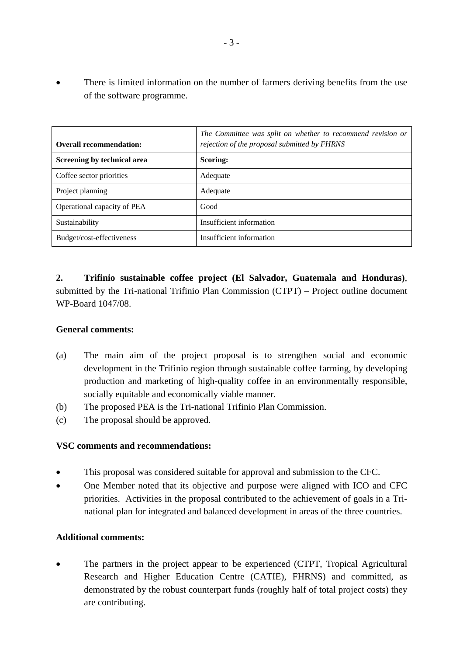There is limited information on the number of farmers deriving benefits from the use of the software programme.

| <b>Overall recommendation:</b> | The Committee was split on whether to recommend revision or<br>rejection of the proposal submitted by FHRNS |
|--------------------------------|-------------------------------------------------------------------------------------------------------------|
| Screening by technical area    | Scoring:                                                                                                    |
| Coffee sector priorities       | Adequate                                                                                                    |
| Project planning               | Adequate                                                                                                    |
| Operational capacity of PEA    | Good                                                                                                        |
| Sustainability                 | Insufficient information                                                                                    |
| Budget/cost-effectiveness      | Insufficient information                                                                                    |

**2. Trifinio sustainable coffee project (El Salvador, Guatemala and Honduras)**, submitted by the Tri-national Trifinio Plan Commission (CTPT) **–** Project outline document WP-Board 1047/08.

## **General comments:**

- (a) The main aim of the project proposal is to strengthen social and economic development in the Trifinio region through sustainable coffee farming, by developing production and marketing of high-quality coffee in an environmentally responsible, socially equitable and economically viable manner.
- (b) The proposed PEA is the Tri-national Trifinio Plan Commission.
- (c) The proposal should be approved.

## **VSC comments and recommendations:**

- This proposal was considered suitable for approval and submission to the CFC.
- One Member noted that its objective and purpose were aligned with ICO and CFC priorities. Activities in the proposal contributed to the achievement of goals in a Trinational plan for integrated and balanced development in areas of the three countries.

# **Additional comments:**

The partners in the project appear to be experienced (CTPT, Tropical Agricultural Research and Higher Education Centre (CATIE), FHRNS) and committed, as demonstrated by the robust counterpart funds (roughly half of total project costs) they are contributing.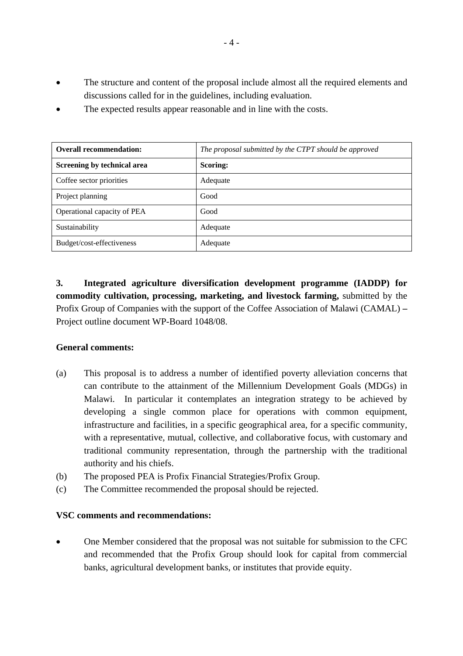- The structure and content of the proposal include almost all the required elements and discussions called for in the guidelines, including evaluation.
- The expected results appear reasonable and in line with the costs.

| <b>Overall recommendation:</b> | The proposal submitted by the CTPT should be approved |
|--------------------------------|-------------------------------------------------------|
| Screening by technical area    | Scoring:                                              |
| Coffee sector priorities       | Adequate                                              |
| Project planning               | Good                                                  |
| Operational capacity of PEA    | Good                                                  |
| Sustainability                 | Adequate                                              |
| Budget/cost-effectiveness      | Adequate                                              |

**3. Integrated agriculture diversification development programme (IADDP) for commodity cultivation, processing, marketing, and livestock farming,** submitted by the Profix Group of Companies with the support of the Coffee Association of Malawi (CAMAL) **–** Project outline document WP-Board 1048/08.

## **General comments:**

- (a) This proposal is to address a number of identified poverty alleviation concerns that can contribute to the attainment of the Millennium Development Goals (MDGs) in Malawi. In particular it contemplates an integration strategy to be achieved by developing a single common place for operations with common equipment, infrastructure and facilities, in a specific geographical area, for a specific community, with a representative, mutual, collective, and collaborative focus, with customary and traditional community representation, through the partnership with the traditional authority and his chiefs.
- (b) The proposed PEA is Profix Financial Strategies/Profix Group.
- (c) The Committee recommended the proposal should be rejected.

## **VSC comments and recommendations:**

• One Member considered that the proposal was not suitable for submission to the CFC and recommended that the Profix Group should look for capital from commercial banks, agricultural development banks, or institutes that provide equity.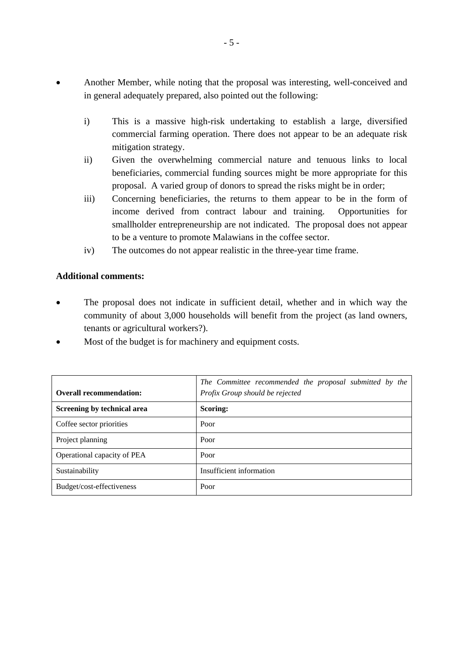- Another Member, while noting that the proposal was interesting, well-conceived and in general adequately prepared, also pointed out the following:
	- i) This is a massive high-risk undertaking to establish a large, diversified commercial farming operation. There does not appear to be an adequate risk mitigation strategy.
	- ii) Given the overwhelming commercial nature and tenuous links to local beneficiaries, commercial funding sources might be more appropriate for this proposal. A varied group of donors to spread the risks might be in order;
	- iii) Concerning beneficiaries, the returns to them appear to be in the form of income derived from contract labour and training. Opportunities for smallholder entrepreneurship are not indicated. The proposal does not appear to be a venture to promote Malawians in the coffee sector.
	- iv) The outcomes do not appear realistic in the three-year time frame.

## **Additional comments:**

- The proposal does not indicate in sufficient detail, whether and in which way the community of about 3,000 households will benefit from the project (as land owners, tenants or agricultural workers?).
- Most of the budget is for machinery and equipment costs.

| <b>Overall recommendation:</b> | The Committee recommended the proposal submitted by the<br>Profix Group should be rejected |
|--------------------------------|--------------------------------------------------------------------------------------------|
| Screening by technical area    | Scoring:                                                                                   |
| Coffee sector priorities       | Poor                                                                                       |
| Project planning               | Poor                                                                                       |
| Operational capacity of PEA    | Poor                                                                                       |
| Sustainability                 | Insufficient information                                                                   |
| Budget/cost-effectiveness      | Poor                                                                                       |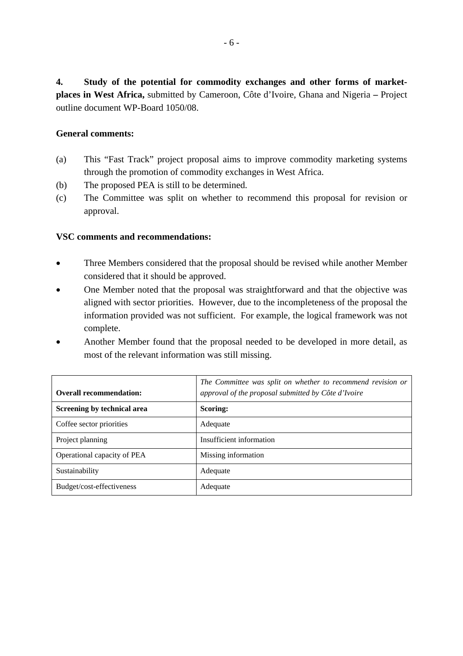**4. Study of the potential for commodity exchanges and other forms of marketplaces in West Africa,** submitted by Cameroon, Côte d'Ivoire, Ghana and Nigeria **–** Project outline document WP-Board 1050/08.

## **General comments:**

- (a) This "Fast Track" project proposal aims to improve commodity marketing systems through the promotion of commodity exchanges in West Africa.
- (b) The proposed PEA is still to be determined.
- (c) The Committee was split on whether to recommend this proposal for revision or approval.

- Three Members considered that the proposal should be revised while another Member considered that it should be approved.
- One Member noted that the proposal was straightforward and that the objective was aligned with sector priorities. However, due to the incompleteness of the proposal the information provided was not sufficient. For example, the logical framework was not complete.
- Another Member found that the proposal needed to be developed in more detail, as most of the relevant information was still missing.

| <b>Overall recommendation:</b> | The Committee was split on whether to recommend revision or<br>approval of the proposal submitted by Côte d'Ivoire |
|--------------------------------|--------------------------------------------------------------------------------------------------------------------|
| Screening by technical area    | Scoring:                                                                                                           |
| Coffee sector priorities       | Adequate                                                                                                           |
| Project planning               | Insufficient information                                                                                           |
| Operational capacity of PEA    | Missing information                                                                                                |
| Sustainability                 | Adequate                                                                                                           |
| Budget/cost-effectiveness      | Adequate                                                                                                           |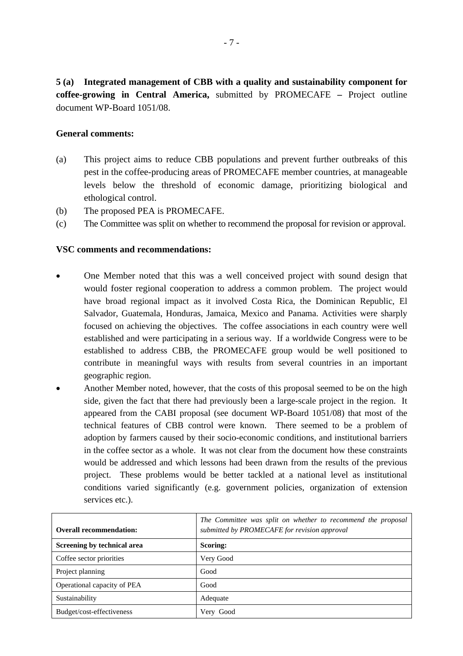**5 (a) Integrated management of CBB with a quality and sustainability component for coffee-growing in Central America,** submitted by PROMECAFE **–** Project outline document WP-Board 1051/08.

## **General comments:**

- (a) This project aims to reduce CBB populations and prevent further outbreaks of this pest in the coffee-producing areas of PROMECAFE member countries, at manageable levels below the threshold of economic damage, prioritizing biological and ethological control.
- (b) The proposed PEA is PROMECAFE.
- (c) The Committee was split on whether to recommend the proposal for revision or approval.

- One Member noted that this was a well conceived project with sound design that would foster regional cooperation to address a common problem. The project would have broad regional impact as it involved Costa Rica, the Dominican Republic, El Salvador, Guatemala, Honduras, Jamaica, Mexico and Panama. Activities were sharply focused on achieving the objectives. The coffee associations in each country were well established and were participating in a serious way. If a worldwide Congress were to be established to address CBB, the PROMECAFE group would be well positioned to contribute in meaningful ways with results from several countries in an important geographic region.
- Another Member noted, however, that the costs of this proposal seemed to be on the high side, given the fact that there had previously been a large-scale project in the region. It appeared from the CABI proposal (see document WP-Board 1051/08) that most of the technical features of CBB control were known. There seemed to be a problem of adoption by farmers caused by their socio-economic conditions, and institutional barriers in the coffee sector as a whole. It was not clear from the document how these constraints would be addressed and which lessons had been drawn from the results of the previous project. These problems would be better tackled at a national level as institutional conditions varied significantly (e.g. government policies, organization of extension services etc.).

| <b>Overall recommendation:</b> | The Committee was split on whether to recommend the proposal<br>submitted by PROMECAFE for revision approval |
|--------------------------------|--------------------------------------------------------------------------------------------------------------|
| Screening by technical area    | Scoring:                                                                                                     |
| Coffee sector priorities       | Very Good                                                                                                    |
| Project planning               | Good                                                                                                         |
| Operational capacity of PEA    | Good                                                                                                         |
| Sustainability                 | Adequate                                                                                                     |
| Budget/cost-effectiveness      | Very Good                                                                                                    |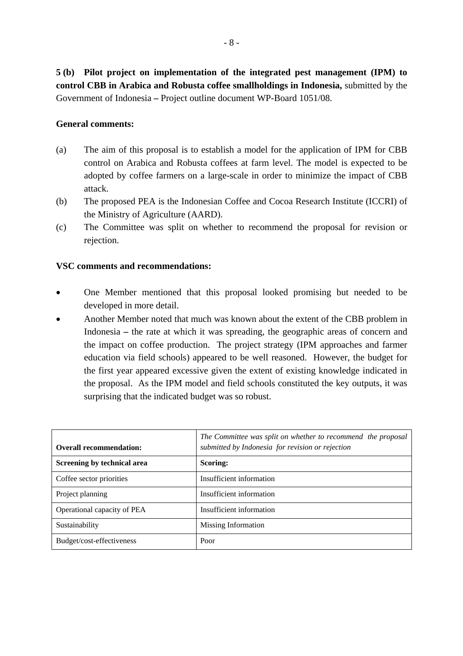**5 (b) Pilot project on implementation of the integrated pest management (IPM) to control CBB in Arabica and Robusta coffee smallholdings in Indonesia,** submitted by the Government of Indonesia **–** Project outline document WP-Board 1051/08.

## **General comments:**

- (a) The aim of this proposal is to establish a model for the application of IPM for CBB control on Arabica and Robusta coffees at farm level. The model is expected to be adopted by coffee farmers on a large-scale in order to minimize the impact of CBB attack.
- (b) The proposed PEA is the Indonesian Coffee and Cocoa Research Institute (ICCRI) of the Ministry of Agriculture (AARD).
- (c) The Committee was split on whether to recommend the proposal for revision or rejection.

- One Member mentioned that this proposal looked promising but needed to be developed in more detail.
- Another Member noted that much was known about the extent of the CBB problem in Indonesia **–** the rate at which it was spreading, the geographic areas of concern and the impact on coffee production. The project strategy (IPM approaches and farmer education via field schools) appeared to be well reasoned. However, the budget for the first year appeared excessive given the extent of existing knowledge indicated in the proposal. As the IPM model and field schools constituted the key outputs, it was surprising that the indicated budget was so robust.

| <b>Overall recommendation:</b> | The Committee was split on whether to recommend the proposal<br>submitted by Indonesia for revision or rejection |
|--------------------------------|------------------------------------------------------------------------------------------------------------------|
| Screening by technical area    | Scoring:                                                                                                         |
| Coffee sector priorities       | Insufficient information                                                                                         |
| Project planning               | Insufficient information                                                                                         |
| Operational capacity of PEA    | Insufficient information                                                                                         |
| Sustainability                 | Missing Information                                                                                              |
| Budget/cost-effectiveness      | Poor                                                                                                             |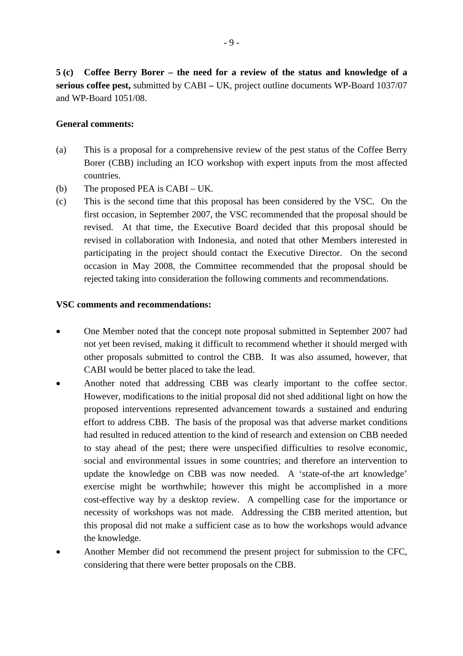**5 (c) Coffee Berry Borer – the need for a review of the status and knowledge of a serious coffee pest,** submitted by CABI **–** UK, project outline documents WP-Board 1037/07 and WP-Board 1051/08.

## **General comments:**

- (a) This is a proposal for a comprehensive review of the pest status of the Coffee Berry Borer (CBB) including an ICO workshop with expert inputs from the most affected countries.
- (b) The proposed PEA is CABI UK.
- (c) This is the second time that this proposal has been considered by the VSC. On the first occasion, in September 2007, the VSC recommended that the proposal should be revised. At that time, the Executive Board decided that this proposal should be revised in collaboration with Indonesia, and noted that other Members interested in participating in the project should contact the Executive Director. On the second occasion in May 2008, the Committee recommended that the proposal should be rejected taking into consideration the following comments and recommendations.

- One Member noted that the concept note proposal submitted in September 2007 had not yet been revised, making it difficult to recommend whether it should merged with other proposals submitted to control the CBB. It was also assumed, however, that CABI would be better placed to take the lead.
- Another noted that addressing CBB was clearly important to the coffee sector. However, modifications to the initial proposal did not shed additional light on how the proposed interventions represented advancement towards a sustained and enduring effort to address CBB. The basis of the proposal was that adverse market conditions had resulted in reduced attention to the kind of research and extension on CBB needed to stay ahead of the pest; there were unspecified difficulties to resolve economic, social and environmental issues in some countries; and therefore an intervention to update the knowledge on CBB was now needed. A 'state-of-the art knowledge' exercise might be worthwhile; however this might be accomplished in a more cost-effective way by a desktop review. A compelling case for the importance or necessity of workshops was not made. Addressing the CBB merited attention, but this proposal did not make a sufficient case as to how the workshops would advance the knowledge.
- Another Member did not recommend the present project for submission to the CFC, considering that there were better proposals on the CBB.